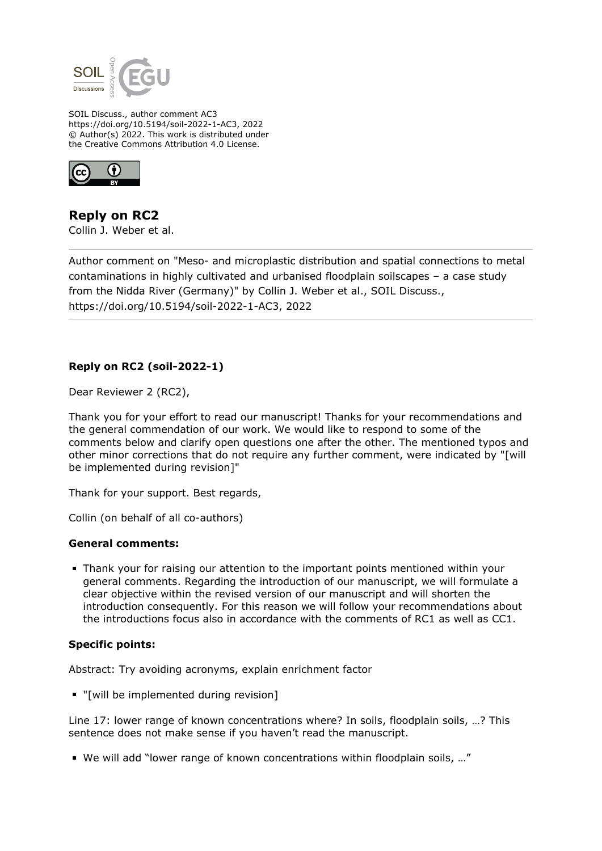

SOIL Discuss., author comment AC3 https://doi.org/10.5194/soil-2022-1-AC3, 2022 © Author(s) 2022. This work is distributed under the Creative Commons Attribution 4.0 License.



**Reply on RC2** Collin J. Weber et al.

Author comment on "Meso- and microplastic distribution and spatial connections to metal contaminations in highly cultivated and urbanised floodplain soilscapes – a case study from the Nidda River (Germany)" by Collin J. Weber et al., SOIL Discuss., https://doi.org/10.5194/soil-2022-1-AC3, 2022

## **Reply on RC2 (soil-2022-1)**

Dear Reviewer 2 (RC2),

Thank you for your effort to read our manuscript! Thanks for your recommendations and the general commendation of our work. We would like to respond to some of the comments below and clarify open questions one after the other. The mentioned typos and other minor corrections that do not require any further comment, were indicated by "[will be implemented during revision]"

Thank for your support. Best regards,

Collin (on behalf of all co-authors)

## **General comments:**

Thank your for raising our attention to the important points mentioned within your general comments. Regarding the introduction of our manuscript, we will formulate a clear objective within the revised version of our manuscript and will shorten the introduction consequently. For this reason we will follow your recommendations about the introductions focus also in accordance with the comments of RC1 as well as CC1.

## **Specific points:**

Abstract: Try avoiding acronyms, explain enrichment factor

"[will be implemented during revision]

Line 17: lower range of known concentrations where? In soils, floodplain soils, …? This sentence does not make sense if you haven't read the manuscript.

We will add "lower range of known concentrations within floodplain soils, …"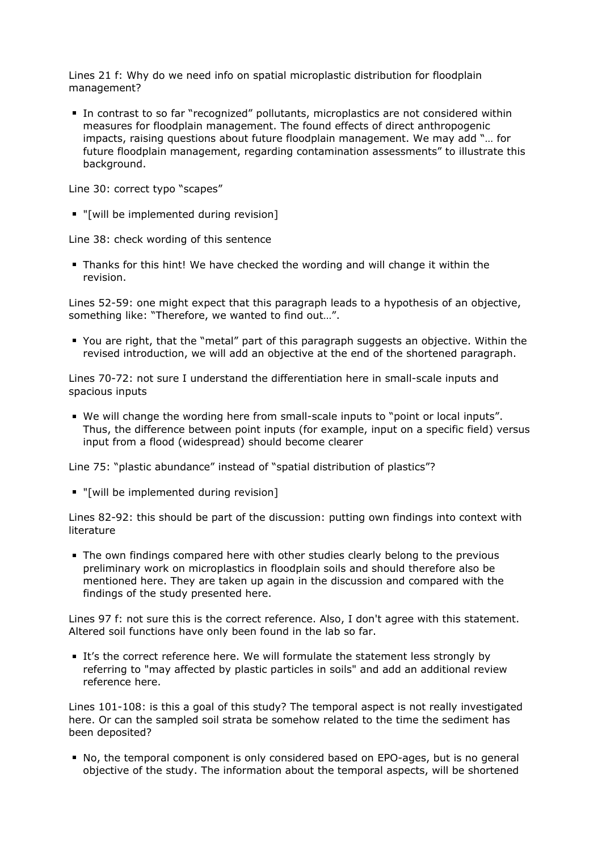Lines 21 f: Why do we need info on spatial microplastic distribution for floodplain management?

In contrast to so far "recognized" pollutants, microplastics are not considered within measures for floodplain management. The found effects of direct anthropogenic impacts, raising questions about future floodplain management. We may add "… for future floodplain management, regarding contamination assessments" to illustrate this background.

Line 30: correct typo "scapes"

"[will be implemented during revision]

Line 38: check wording of this sentence

Thanks for this hint! We have checked the wording and will change it within the revision.

Lines 52-59: one might expect that this paragraph leads to a hypothesis of an objective, something like: "Therefore, we wanted to find out…".

You are right, that the "metal" part of this paragraph suggests an objective. Within the revised introduction, we will add an objective at the end of the shortened paragraph.

Lines 70-72: not sure I understand the differentiation here in small-scale inputs and spacious inputs

We will change the wording here from small-scale inputs to "point or local inputs". Thus, the difference between point inputs (for example, input on a specific field) versus input from a flood (widespread) should become clearer

Line 75: "plastic abundance" instead of "spatial distribution of plastics"?

"[will be implemented during revision]

Lines 82-92: this should be part of the discussion: putting own findings into context with literature

The own findings compared here with other studies clearly belong to the previous preliminary work on microplastics in floodplain soils and should therefore also be mentioned here. They are taken up again in the discussion and compared with the findings of the study presented here.

Lines 97 f: not sure this is the correct reference. Also, I don't agree with this statement. Altered soil functions have only been found in the lab so far.

It's the correct reference here. We will formulate the statement less strongly by referring to "may affected by plastic particles in soils" and add an additional review reference here.

Lines 101-108: is this a goal of this study? The temporal aspect is not really investigated here. Or can the sampled soil strata be somehow related to the time the sediment has been deposited?

No, the temporal component is only considered based on EPO-ages, but is no general objective of the study. The information about the temporal aspects, will be shortened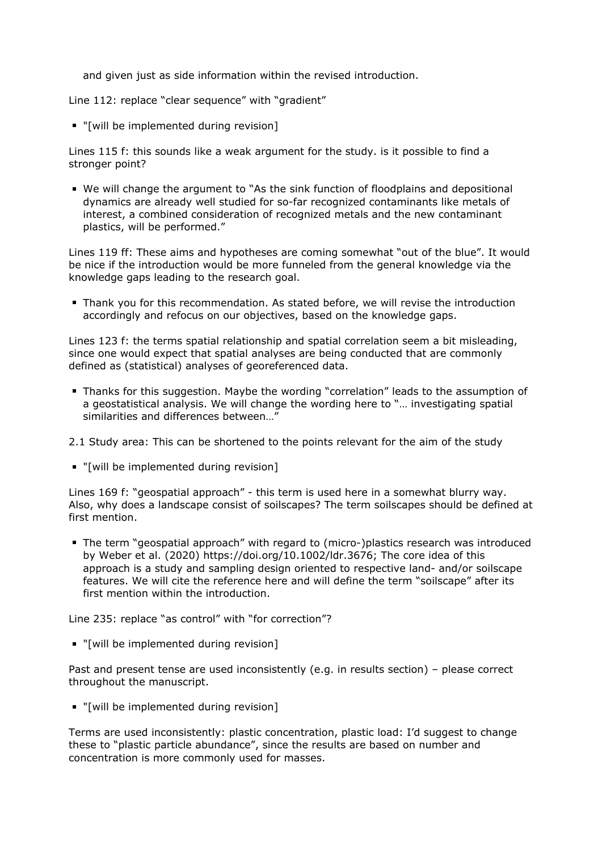and given just as side information within the revised introduction.

Line 112: replace "clear sequence" with "gradient"

"[will be implemented during revision]

Lines 115 f: this sounds like a weak argument for the study. is it possible to find a stronger point?

We will change the argument to "As the sink function of floodplains and depositional dynamics are already well studied for so-far recognized contaminants like metals of interest, a combined consideration of recognized metals and the new contaminant plastics, will be performed."

Lines 119 ff: These aims and hypotheses are coming somewhat "out of the blue". It would be nice if the introduction would be more funneled from the general knowledge via the knowledge gaps leading to the research goal.

Thank you for this recommendation. As stated before, we will revise the introduction accordingly and refocus on our objectives, based on the knowledge gaps.

Lines 123 f: the terms spatial relationship and spatial correlation seem a bit misleading, since one would expect that spatial analyses are being conducted that are commonly defined as (statistical) analyses of georeferenced data.

- Thanks for this suggestion. Maybe the wording "correlation" leads to the assumption of a geostatistical analysis. We will change the wording here to "… investigating spatial similarities and differences between…"
- 2.1 Study area: This can be shortened to the points relevant for the aim of the study
- "[will be implemented during revision]

Lines 169 f: "geospatial approach" - this term is used here in a somewhat blurry way. Also, why does a landscape consist of soilscapes? The term soilscapes should be defined at first mention.

The term "geospatial approach" with regard to (micro-)plastics research was introduced by Weber et al. (2020) https://doi.org/10.1002/ldr.3676; The core idea of this approach is a study and sampling design oriented to respective land- and/or soilscape features. We will cite the reference here and will define the term "soilscape" after its first mention within the introduction.

Line 235: replace "as control" with "for correction"?

"[will be implemented during revision]

Past and present tense are used inconsistently (e.g. in results section) – please correct throughout the manuscript.

"[will be implemented during revision]

Terms are used inconsistently: plastic concentration, plastic load: I'd suggest to change these to "plastic particle abundance", since the results are based on number and concentration is more commonly used for masses.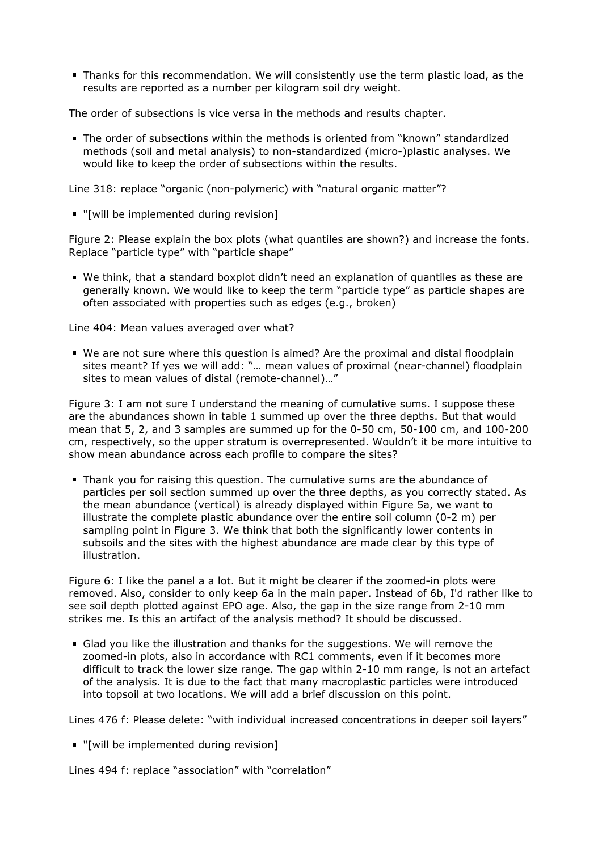Thanks for this recommendation. We will consistently use the term plastic load, as the results are reported as a number per kilogram soil dry weight.

The order of subsections is vice versa in the methods and results chapter.

The order of subsections within the methods is oriented from "known" standardized methods (soil and metal analysis) to non-standardized (micro-)plastic analyses. We would like to keep the order of subsections within the results.

Line 318: replace "organic (non-polymeric) with "natural organic matter"?

"[will be implemented during revision]

Figure 2: Please explain the box plots (what quantiles are shown?) and increase the fonts. Replace "particle type" with "particle shape"

We think, that a standard boxplot didn't need an explanation of quantiles as these are generally known. We would like to keep the term "particle type" as particle shapes are often associated with properties such as edges (e.g., broken)

Line 404: Mean values averaged over what?

We are not sure where this question is aimed? Are the proximal and distal floodplain sites meant? If yes we will add: "… mean values of proximal (near-channel) floodplain sites to mean values of distal (remote-channel)…"

Figure 3: I am not sure I understand the meaning of cumulative sums. I suppose these are the abundances shown in table 1 summed up over the three depths. But that would mean that 5, 2, and 3 samples are summed up for the 0-50 cm, 50-100 cm, and 100-200 cm, respectively, so the upper stratum is overrepresented. Wouldn't it be more intuitive to show mean abundance across each profile to compare the sites?

Thank you for raising this question. The cumulative sums are the abundance of particles per soil section summed up over the three depths, as you correctly stated. As the mean abundance (vertical) is already displayed within Figure 5a, we want to illustrate the complete plastic abundance over the entire soil column (0-2 m) per sampling point in Figure 3. We think that both the significantly lower contents in subsoils and the sites with the highest abundance are made clear by this type of illustration.

Figure 6: I like the panel a a lot. But it might be clearer if the zoomed-in plots were removed. Also, consider to only keep 6a in the main paper. Instead of 6b, I'd rather like to see soil depth plotted against EPO age. Also, the gap in the size range from 2-10 mm strikes me. Is this an artifact of the analysis method? It should be discussed.

Glad you like the illustration and thanks for the suggestions. We will remove the zoomed-in plots, also in accordance with RC1 comments, even if it becomes more difficult to track the lower size range. The gap within 2-10 mm range, is not an artefact of the analysis. It is due to the fact that many macroplastic particles were introduced into topsoil at two locations. We will add a brief discussion on this point.

Lines 476 f: Please delete: "with individual increased concentrations in deeper soil layers"

"[will be implemented during revision]

Lines 494 f: replace "association" with "correlation"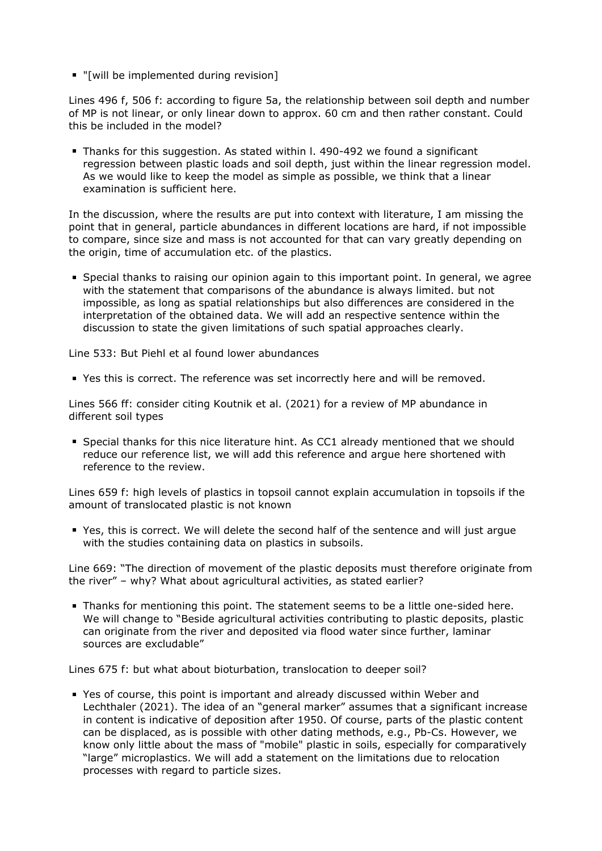"[will be implemented during revision]

Lines 496 f, 506 f: according to figure 5a, the relationship between soil depth and number of MP is not linear, or only linear down to approx. 60 cm and then rather constant. Could this be included in the model?

Thanks for this suggestion. As stated within l. 490-492 we found a significant regression between plastic loads and soil depth, just within the linear regression model. As we would like to keep the model as simple as possible, we think that a linear examination is sufficient here.

In the discussion, where the results are put into context with literature, I am missing the point that in general, particle abundances in different locations are hard, if not impossible to compare, since size and mass is not accounted for that can vary greatly depending on the origin, time of accumulation etc. of the plastics.

Special thanks to raising our opinion again to this important point. In general, we agree with the statement that comparisons of the abundance is always limited. but not impossible, as long as spatial relationships but also differences are considered in the interpretation of the obtained data. We will add an respective sentence within the discussion to state the given limitations of such spatial approaches clearly.

Line 533: But Piehl et al found lower abundances

Yes this is correct. The reference was set incorrectly here and will be removed.

Lines 566 ff: consider citing Koutnik et al. (2021) for a review of MP abundance in different soil types

Special thanks for this nice literature hint. As CC1 already mentioned that we should reduce our reference list, we will add this reference and argue here shortened with reference to the review.

Lines 659 f: high levels of plastics in topsoil cannot explain accumulation in topsoils if the amount of translocated plastic is not known

Yes, this is correct. We will delete the second half of the sentence and will just argue with the studies containing data on plastics in subsoils.

Line 669: "The direction of movement of the plastic deposits must therefore originate from the river" – why? What about agricultural activities, as stated earlier?

Thanks for mentioning this point. The statement seems to be a little one-sided here. We will change to "Beside agricultural activities contributing to plastic deposits, plastic can originate from the river and deposited via flood water since further, laminar sources are excludable"

Lines 675 f: but what about bioturbation, translocation to deeper soil?

Yes of course, this point is important and already discussed within Weber and Lechthaler (2021). The idea of an "general marker" assumes that a significant increase in content is indicative of deposition after 1950. Of course, parts of the plastic content can be displaced, as is possible with other dating methods, e.g., Pb-Cs. However, we know only little about the mass of "mobile" plastic in soils, especially for comparatively "large" microplastics. We will add a statement on the limitations due to relocation processes with regard to particle sizes.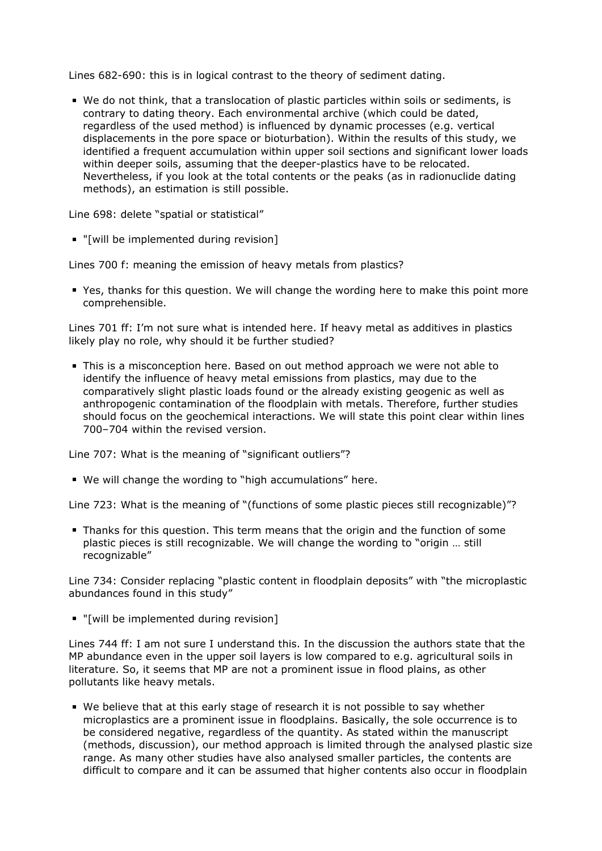Lines 682-690: this is in logical contrast to the theory of sediment dating.

We do not think, that a translocation of plastic particles within soils or sediments, is contrary to dating theory. Each environmental archive (which could be dated, regardless of the used method) is influenced by dynamic processes (e.g. vertical displacements in the pore space or bioturbation). Within the results of this study, we identified a frequent accumulation within upper soil sections and significant lower loads within deeper soils, assuming that the deeper-plastics have to be relocated. Nevertheless, if you look at the total contents or the peaks (as in radionuclide dating methods), an estimation is still possible.

Line 698: delete "spatial or statistical"

"[will be implemented during revision]

Lines 700 f: meaning the emission of heavy metals from plastics?

Yes, thanks for this question. We will change the wording here to make this point more comprehensible.

Lines 701 ff: I'm not sure what is intended here. If heavy metal as additives in plastics likely play no role, why should it be further studied?

This is a misconception here. Based on out method approach we were not able to identify the influence of heavy metal emissions from plastics, may due to the comparatively slight plastic loads found or the already existing geogenic as well as anthropogenic contamination of the floodplain with metals. Therefore, further studies should focus on the geochemical interactions. We will state this point clear within lines 700–704 within the revised version.

Line 707: What is the meaning of "significant outliers"?

We will change the wording to "high accumulations" here.

Line 723: What is the meaning of "(functions of some plastic pieces still recognizable)"?

Thanks for this question. This term means that the origin and the function of some plastic pieces is still recognizable. We will change the wording to "origin … still recognizable"

Line 734: Consider replacing "plastic content in floodplain deposits" with "the microplastic abundances found in this study"

"[will be implemented during revision]

Lines 744 ff: I am not sure I understand this. In the discussion the authors state that the MP abundance even in the upper soil layers is low compared to e.g. agricultural soils in literature. So, it seems that MP are not a prominent issue in flood plains, as other pollutants like heavy metals.

We believe that at this early stage of research it is not possible to say whether microplastics are a prominent issue in floodplains. Basically, the sole occurrence is to be considered negative, regardless of the quantity. As stated within the manuscript (methods, discussion), our method approach is limited through the analysed plastic size range. As many other studies have also analysed smaller particles, the contents are difficult to compare and it can be assumed that higher contents also occur in floodplain